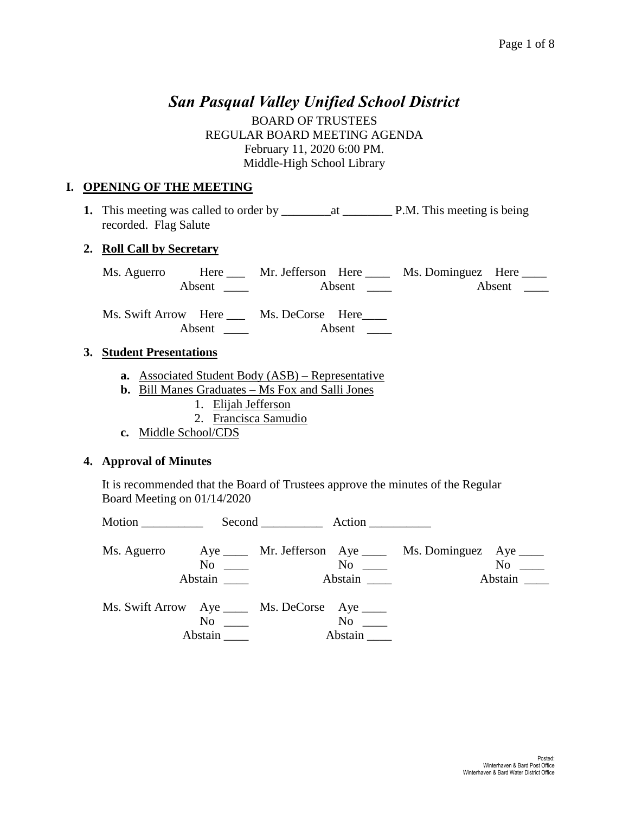# *San Pasqual Valley Unified School District*

BOARD OF TRUSTEES REGULAR BOARD MEETING AGENDA February 11, 2020 6:00 PM. Middle-High School Library

### **I. OPENING OF THE MEETING**

**1.** This meeting was called to order by \_\_\_\_\_\_\_\_at \_\_\_\_\_\_\_\_ P.M. This meeting is being recorded. Flag Salute

#### **2. Roll Call by Secretary**

Ms. Aguerro Here Mr. Jefferson Here Ms. Dominguez Here Absent \_\_\_\_ Absent \_\_\_\_ Absent \_\_\_\_

Ms. Swift Arrow Here \_\_\_ Ms. DeCorse Here\_\_\_\_ Absent Absent \_\_\_\_

#### **3. Student Presentations**

- **a.** Associated Student Body (ASB) Representative
- **b.** Bill Manes Graduates Ms Fox and Salli Jones
	- 1. Elijah Jefferson
	- 2. Francisca Samudio
- **c.** Middle School/CDS

#### **4. Approval of Minutes**

It is recommended that the Board of Trustees approve the minutes of the Regular Board Meeting on 01/14/2020

| Abstain                                                                                                                                                                       | $\overline{\text{No}}$ $\overline{\phantom{a}}$ | Abstain              | Ms. Aguerro Aye _____ Mr. Jefferson Aye _____ Ms. Dominguez Aye _____ | $No \t —$<br>Abstain |
|-------------------------------------------------------------------------------------------------------------------------------------------------------------------------------|-------------------------------------------------|----------------------|-----------------------------------------------------------------------|----------------------|
| Ms. Swift Arrow Aye _____ Ms. DeCorse Aye ____<br>No and the North States of the North States and the North States of the North States and the North States and Ta<br>Abstain |                                                 | $No \t —$<br>Abstain |                                                                       |                      |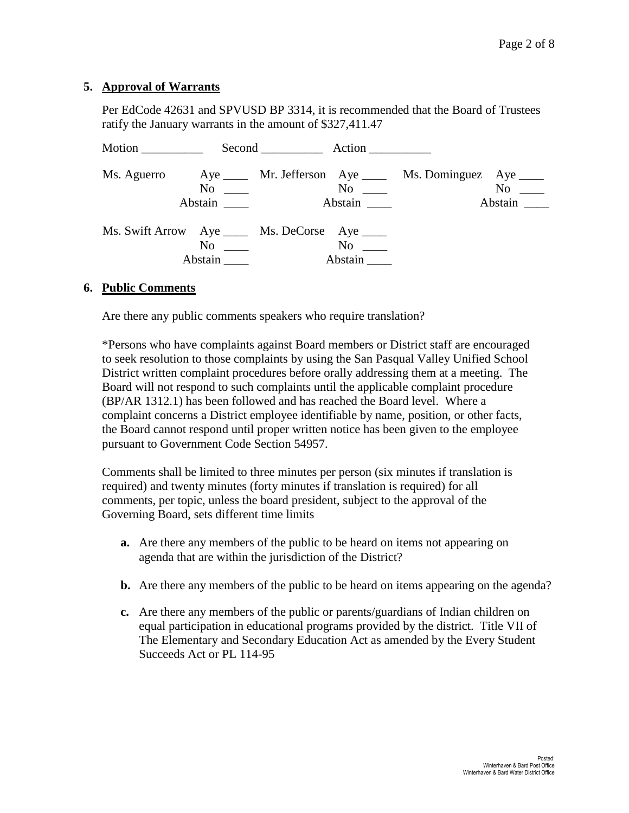#### **5. Approval of Warrants**

Per EdCode 42631 and SPVUSD BP 3314, it is recommended that the Board of Trustees ratify the January warrants in the amount of \$327,411.47

| Motion |                                                                 | Second Action |                                                        |                                                                       |                      |
|--------|-----------------------------------------------------------------|---------------|--------------------------------------------------------|-----------------------------------------------------------------------|----------------------|
|        | $No \ \_$<br>Abstain                                            |               | $\overline{N}$ o $\overline{\phantom{nnn}}$<br>Abstain | Ms. Aguerro Aye _____ Mr. Jefferson Aye _____ Ms. Dominguez Aye _____ | $No \_\_$<br>Abstain |
|        | Ms. Swift Arrow Aye _____ Ms. DeCorse Aye ____<br>No<br>Abstain |               | $\rm No$<br>Abstain                                    |                                                                       |                      |

#### **6. Public Comments**

Are there any public comments speakers who require translation?

\*Persons who have complaints against Board members or District staff are encouraged to seek resolution to those complaints by using the San Pasqual Valley Unified School District written complaint procedures before orally addressing them at a meeting. The Board will not respond to such complaints until the applicable complaint procedure (BP/AR 1312.1) has been followed and has reached the Board level. Where a complaint concerns a District employee identifiable by name, position, or other facts, the Board cannot respond until proper written notice has been given to the employee pursuant to Government Code Section 54957.

Comments shall be limited to three minutes per person (six minutes if translation is required) and twenty minutes (forty minutes if translation is required) for all comments, per topic, unless the board president, subject to the approval of the Governing Board, sets different time limits

- **a.** Are there any members of the public to be heard on items not appearing on agenda that are within the jurisdiction of the District?
- **b.** Are there any members of the public to be heard on items appearing on the agenda?
- **c.** Are there any members of the public or parents/guardians of Indian children on equal participation in educational programs provided by the district. Title VII of The Elementary and Secondary Education Act as amended by the Every Student Succeeds Act or PL 114-95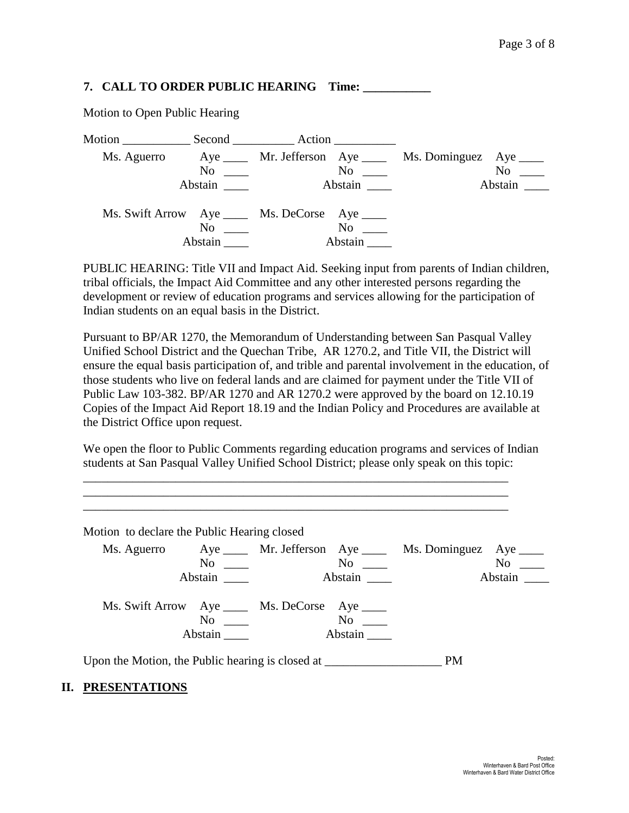#### **7. CALL TO ORDER PUBLIC HEARING Time: \_\_\_\_\_\_\_\_\_\_\_**

|             |                                 | Motion Second Action                                                  |                                                                            |
|-------------|---------------------------------|-----------------------------------------------------------------------|----------------------------------------------------------------------------|
| Ms. Aguerro | $\mathrm{No}$ $\_\_$<br>Abstain | $\mathrm{No}$ $\_\_$<br>Abstain                                       | Aye ______ Mr. Jefferson Aye _____ Ms. Dominguez Aye ____<br>No<br>Abstain |
|             | N <sub>0</sub><br>Abstain       | Ms. Swift Arrow Aye _____ Ms. DeCorse Aye ____<br>$\rm No$<br>Abstain |                                                                            |

Motion to Open Public Hearing

PUBLIC HEARING: Title VII and Impact Aid. Seeking input from parents of Indian children, tribal officials, the Impact Aid Committee and any other interested persons regarding the development or review of education programs and services allowing for the participation of Indian students on an equal basis in the District.

Pursuant to BP/AR 1270, the Memorandum of Understanding between San Pasqual Valley Unified School District and the Quechan Tribe, AR 1270.2, and Title VII, the District will ensure the equal basis participation of, and trible and parental involvement in the education, of those students who live on federal lands and are claimed for payment under the Title VII of Public Law 103-382. BP/AR 1270 and AR 1270.2 were approved by the board on 12.10.19 Copies of the Impact Aid Report 18.19 and the Indian Policy and Procedures are available at the District Office upon request.

We open the floor to Public Comments regarding education programs and services of Indian students at San Pasqual Valley Unified School District; please only speak on this topic:

\_\_\_\_\_\_\_\_\_\_\_\_\_\_\_\_\_\_\_\_\_\_\_\_\_\_\_\_\_\_\_\_\_\_\_\_\_\_\_\_\_\_\_\_\_\_\_\_\_\_\_\_\_\_\_\_\_\_\_\_\_\_\_\_\_\_\_\_\_ \_\_\_\_\_\_\_\_\_\_\_\_\_\_\_\_\_\_\_\_\_\_\_\_\_\_\_\_\_\_\_\_\_\_\_\_\_\_\_\_\_\_\_\_\_\_\_\_\_\_\_\_\_\_\_\_\_\_\_\_\_\_\_\_\_\_\_\_\_

| Motion to declare the Public Hearing closed |         |                                                |                                                                                                                                                                                                                               |                                                                       |           |
|---------------------------------------------|---------|------------------------------------------------|-------------------------------------------------------------------------------------------------------------------------------------------------------------------------------------------------------------------------------|-----------------------------------------------------------------------|-----------|
|                                             |         |                                                |                                                                                                                                                                                                                               | Ms. Aguerro Aye _____ Mr. Jefferson Aye _____ Ms. Dominguez Aye _____ |           |
|                                             | No      |                                                |                                                                                                                                                                                                                               |                                                                       | $No \_\_$ |
|                                             | Abstain |                                                | Abstain                                                                                                                                                                                                                       |                                                                       | Abstain   |
|                                             |         | Ms. Swift Arrow Aye _____ Ms. DeCorse Aye ____ |                                                                                                                                                                                                                               |                                                                       |           |
|                                             |         |                                                | No note that the set of the set of the set of the set of the set of the set of the set of the set of the set of the set of the set of the set of the set of the set of the set of the set of the set of the set of the set of |                                                                       |           |
|                                             | Abstain |                                                | Abstain                                                                                                                                                                                                                       |                                                                       |           |

#### **II. PRESENTATIONS**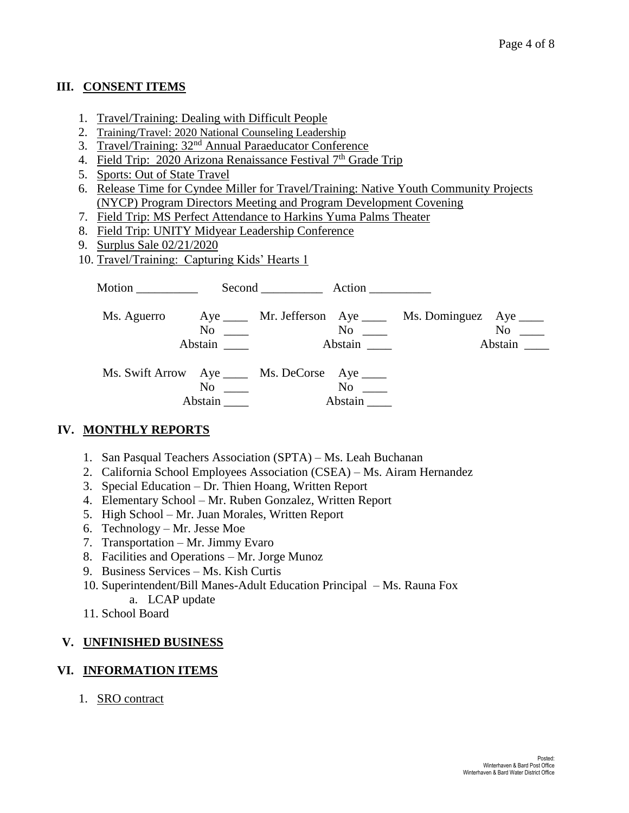### **III. CONSENT ITEMS**

- 1. Travel/Training: Dealing with Difficult People
- 2. Training/Travel: 2020 National Counseling Leadership
- 3. Travel/Training: 32nd Annual Paraeducator Conference
- 4. Field Trip: 2020 Arizona Renaissance Festival  $7<sup>th</sup>$  Grade Trip
- 5. Sports: Out of State Travel
- 6. Release Time for Cyndee Miller for Travel/Training: Native Youth Community Projects (NYCP) Program Directors Meeting and Program Development Covening
- 7. Field Trip: MS Perfect Attendance to Harkins Yuma Palms Theater
- 8. Field Trip: UNITY Midyear Leadership Conference
- 9. Surplus Sale 02/21/2020
- 10. Travel/Training: Capturing Kids' Hearts 1

| Motion $\qquad \qquad$ |                                                                  | Second Action |                      |                                                            |                      |
|------------------------|------------------------------------------------------------------|---------------|----------------------|------------------------------------------------------------|----------------------|
| Ms. Aguerro            | No                                                               |               | $No \ \_$            | Aye ______ Mr. Jefferson Aye _____ Ms. Dominguez Aye _____ | $No \t —$<br>Abstain |
|                        | Ms. Swift Arrow Aye _____ Ms. DeCorse Aye _____<br>No<br>Abstain |               | $No \t —$<br>Abstain |                                                            |                      |

## **IV. MONTHLY REPORTS**

- 1. San Pasqual Teachers Association (SPTA) Ms. Leah Buchanan
- 2. California School Employees Association (CSEA) Ms. Airam Hernandez
- 3. Special Education Dr. Thien Hoang, Written Report
- 4. Elementary School Mr. Ruben Gonzalez, Written Report
- 5. High School Mr. Juan Morales, Written Report
- 6. Technology Mr. Jesse Moe
- 7. Transportation Mr. Jimmy Evaro
- 8. Facilities and Operations Mr. Jorge Munoz
- 9. Business Services Ms. Kish Curtis
- 10. Superintendent/Bill Manes-Adult Education Principal Ms. Rauna Fox
	- a. LCAP update
- 11. School Board

#### **V. UNFINISHED BUSINESS**

#### **VI. INFORMATION ITEMS**

1. SRO contract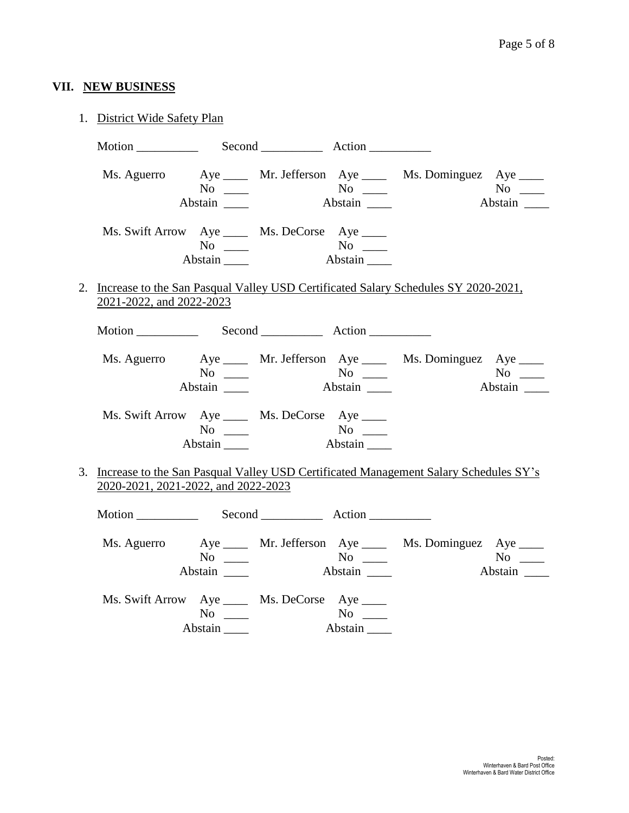# **VII. NEW BUSINESS**

| 1. District Wide Safety Plan                                                                                                   |                                    |                                            |                                                            |                                                                               |                          |
|--------------------------------------------------------------------------------------------------------------------------------|------------------------------------|--------------------------------------------|------------------------------------------------------------|-------------------------------------------------------------------------------|--------------------------|
| Motion Second Record Action                                                                                                    |                                    |                                            |                                                            |                                                                               |                          |
|                                                                                                                                | Abstain _______                    |                                            |                                                            | Ms. Aguerro Aye _____ Mr. Jefferson Aye _____ Ms. Dominguez Aye _____         | $No \ \_$<br>Abstain     |
| Ms. Swift Arrow Aye _____ Ms. DeCorse Aye ____                                                                                 | Abstain                            | No<br>Stain No<br>Abstain No<br>Abstain No |                                                            |                                                                               |                          |
| 2. Increase to the San Pasqual Valley USD Certificated Salary Schedules SY 2020-2021,<br>2021-2022, and 2022-2023              |                                    |                                            |                                                            |                                                                               |                          |
| Motion Second Record Action                                                                                                    |                                    |                                            |                                                            |                                                                               |                          |
|                                                                                                                                |                                    |                                            |                                                            | Ms. Aguerro Aye ____ Mr. Jefferson Aye ____ Ms. Dominguez Aye ____<br>Abstain | $No \_$                  |
| Ms. Swift Arrow Aye _____ Ms. DeCorse Aye ____                                                                                 | $No \ \_$<br>Abstain               |                                            |                                                            |                                                                               |                          |
| 3. Increase to the San Pasqual Valley USD Certificated Management Salary Schedules SY's<br>2020-2021, 2021-2022, and 2022-2023 |                                    |                                            |                                                            |                                                                               |                          |
| Motion Second Action                                                                                                           |                                    |                                            |                                                            |                                                                               |                          |
|                                                                                                                                | $No \ \_$<br>Abstain $\frac{ }{ }$ |                                            |                                                            | Ms. Aguerro Aye ____ Mr. Jefferson Aye ____ Ms. Dominguez Aye ____            | $No \_$<br>No<br>Abstain |
| Ms. Swift Arrow Aye _____ Ms. DeCorse Aye ____                                                                                 | $No \ \_$                          |                                            | $\overline{\text{No}}$ $\overline{\phantom{0}}$<br>Abstain |                                                                               |                          |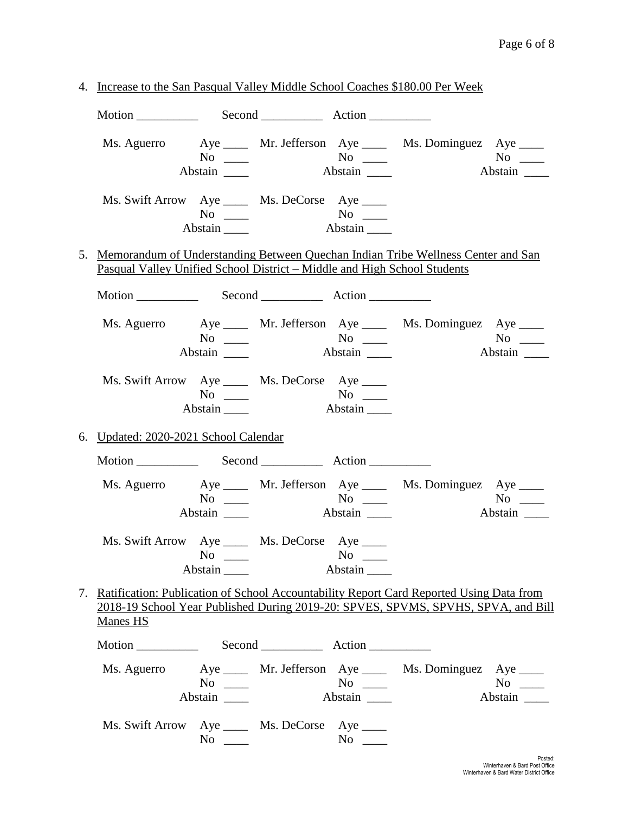| 4. Increase to the San Pasqual Valley Middle School Coaches \$180.00 Per Week                                                                                                                      |                      |           |                      |  |                      |
|----------------------------------------------------------------------------------------------------------------------------------------------------------------------------------------------------|----------------------|-----------|----------------------|--|----------------------|
|                                                                                                                                                                                                    |                      |           |                      |  |                      |
| Ms. Aguerro Aye _____ Mr. Jefferson Aye _____ Ms. Dominguez Aye ____                                                                                                                               | $No \_$<br>Abstain   |           | $No \_\_$<br>Abstain |  | $No \_$              |
| Ms. Swift Arrow Aye _____ Ms. DeCorse Aye ____                                                                                                                                                     | $No \ \_$<br>Abstain |           | Abstain              |  |                      |
| 5. Memorandum of Understanding Between Quechan Indian Tribe Wellness Center and San<br>Pasqual Valley Unified School District – Middle and High School Students                                    |                      |           |                      |  |                      |
|                                                                                                                                                                                                    |                      |           |                      |  |                      |
| Ms. Aguerro Aye _____ Mr. Jefferson Aye _____ Ms. Dominguez Aye ____                                                                                                                               | $No \ \_$            |           |                      |  | $No \ \_$            |
| Ms. Swift Arrow Aye _____ Ms. DeCorse Aye ____                                                                                                                                                     | $No \ \_$            |           | Abstain              |  |                      |
| 6. Updated: 2020-2021 School Calendar                                                                                                                                                              |                      |           |                      |  |                      |
|                                                                                                                                                                                                    |                      |           |                      |  |                      |
| Ms. Aguerro Aye _____ Mr. Jefferson Aye _____ Ms. Dominguez Aye ____                                                                                                                               | No $\qquad$          |           |                      |  | $No \ \_$<br>Abstain |
| Ms. Swift Arrow Aye _____ Ms. DeCorse Aye ____                                                                                                                                                     | $No \ \_$<br>Abstain |           | Abstain              |  |                      |
| 7. Ratification: Publication of School Accountability Report Card Reported Using Data from<br>2018-19 School Year Published During 2019-20: SPVES, SPVMS, SPVHS, SPVA, and Bill<br><b>Manes HS</b> |                      |           |                      |  |                      |
|                                                                                                                                                                                                    |                      |           |                      |  |                      |
| Ms. Aguerro Aye _____ Mr. Jefferson Aye ____ Ms. Dominguez Aye ____                                                                                                                                | $No \ \_$<br>Abstain |           | $No \ \_$<br>Abstain |  | $No \_$<br>Abstain   |
| Ms. Swift Arrow Aye _____ Ms. DeCorse Aye ____                                                                                                                                                     |                      | $No \ \_$ | $No \ \_$            |  |                      |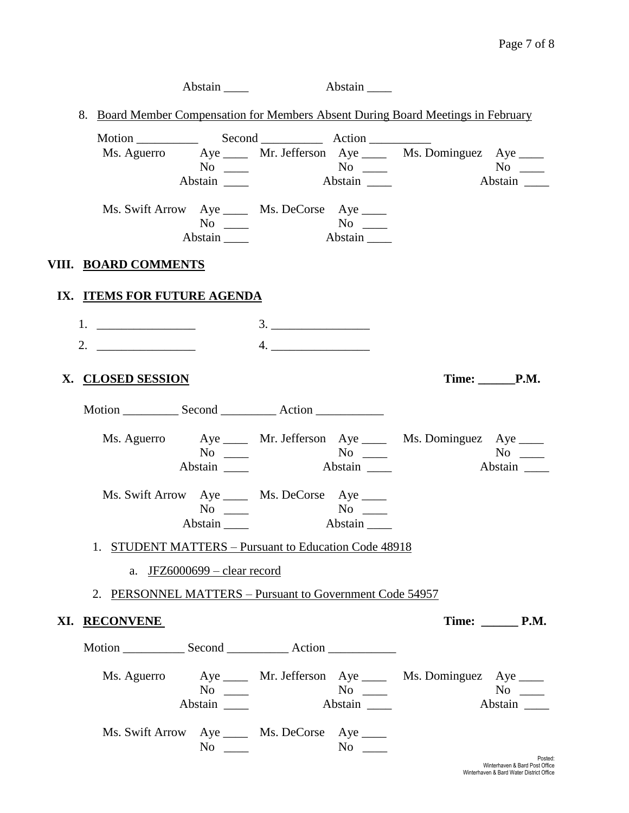|  |                                                          | Abstain                                                              |                                           | Abstain              |                                                                                   |                      |
|--|----------------------------------------------------------|----------------------------------------------------------------------|-------------------------------------------|----------------------|-----------------------------------------------------------------------------------|----------------------|
|  |                                                          |                                                                      |                                           |                      | 8. Board Member Compensation for Members Absent During Board Meetings in February |                      |
|  | Motion Second Action                                     | Abstain _______                                                      | $No \_\_\_\_$ No $\_\_\_\_\_\$<br>Abstain |                      | Ms. Aguerro Aye ____ Mr. Jefferson Aye ____ Ms. Dominguez Aye ____                | $No \ \_$<br>Abstain |
|  |                                                          | Ms. Swift Arrow Aye _____ Ms. DeCorse Aye ____<br>$No \_$<br>Abstain |                                           | Abstain              |                                                                                   |                      |
|  | VIII. BOARD COMMENTS                                     |                                                                      |                                           |                      |                                                                                   |                      |
|  | IX. ITEMS FOR FUTURE AGENDA                              |                                                                      |                                           |                      |                                                                                   |                      |
|  |                                                          |                                                                      |                                           |                      |                                                                                   |                      |
|  | 2. $\qquad \qquad$                                       |                                                                      | 4.                                        |                      |                                                                                   |                      |
|  | X. CLOSED SESSION                                        |                                                                      |                                           |                      |                                                                                   | Time: P.M.           |
|  |                                                          |                                                                      |                                           |                      |                                                                                   |                      |
|  |                                                          | $No \_$<br>Abstain _______                                           |                                           | Abstain              | Ms. Aguerro Aye ____ Mr. Jefferson Aye ____ Ms. Dominguez Aye ____                | Abstain              |
|  |                                                          | Ms. Swift Arrow Aye _____ Ms. DeCorse Aye ____<br>$No \_$<br>Abstain |                                           | $No \ \_$<br>Abstain |                                                                                   |                      |
|  | 1. STUDENT MATTERS – Pursuant to Education Code 48918    |                                                                      |                                           |                      |                                                                                   |                      |
|  |                                                          | a. $JFZ6000699 - clear record$                                       |                                           |                      |                                                                                   |                      |
|  | 2. PERSONNEL MATTERS - Pursuant to Government Code 54957 |                                                                      |                                           |                      |                                                                                   |                      |
|  | XI. RECONVENE                                            |                                                                      |                                           |                      |                                                                                   | <b>Time:</b> P.M.    |
|  |                                                          |                                                                      |                                           |                      |                                                                                   |                      |
|  |                                                          | $No \ \_$<br>Abstain                                                 |                                           | $No \ \_$<br>Abstain | Ms. Aguerro Aye ____ Mr. Jefferson Aye ____ Ms. Dominguez Aye ____                | $No \_$<br>Abstain   |
|  |                                                          | Ms. Swift Arrow Aye _____ Ms. DeCorse Aye ____<br>$No \_\_$          |                                           | $No \ \_$            |                                                                                   | Posted               |